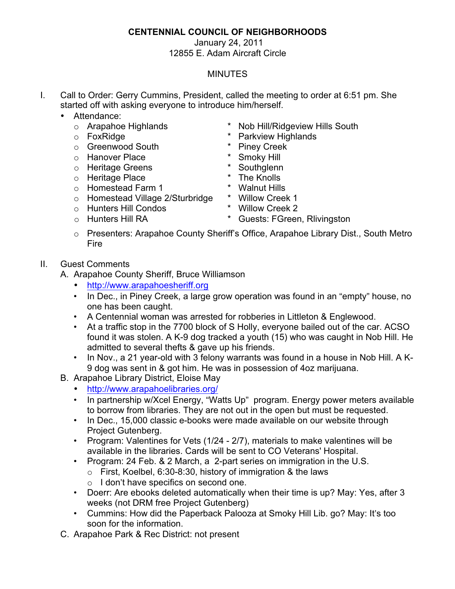## **CENTENNIAL COUNCIL OF NEIGHBORHOODS**

## January 24, 2011 12855 E. Adam Aircraft Circle

## MINUTES

- I. Call to Order: Gerry Cummins, President, called the meeting to order at 6:51 pm. She started off with asking everyone to introduce him/herself.
	- Attendance:
		-
		-
		- o Greenwood South \* Piney Creek
		-
		- o Hanover Place **\*** Smoky Hill<br>
		o Heritage Greens \* Southglenn
		- o Heritage Greens **\* Southglenn**<br> **b** Heritage Place **the final state of the Knolls**
		- o Heritage Place and the Knolls and the Knolls of Homestead Farm 1 and the \* Walnut Hills
		- o Homestead Farm 1 \* Walnut Hills o Homestead Village 2/Sturbridge \* Willow Creek 1<br>
		o Hunters Hill Condos \* Willow Creek 2
		- $\circ$  Hunters Hill Condos
- 
- 
- 
- o Presenters: Arapahoe County Sheriff's Office, Arapahoe Library Dist., South Metro Fire
- II. Guest Comments
	- A. Arapahoe County Sheriff, Bruce Williamson
		- http://www.arapahoesheriff.org
		- In Dec., in Piney Creek, a large grow operation was found in an "empty" house, no one has been caught.
		- A Centennial woman was arrested for robberies in Littleton & Englewood.
		- At a traffic stop in the 7700 block of S Holly, everyone bailed out of the car. ACSO found it was stolen. A K-9 dog tracked a youth (15) who was caught in Nob Hill. He admitted to several thefts & gave up his friends.
		- In Nov., a 21 year-old with 3 felony warrants was found in a house in Nob Hill. A K-9 dog was sent in & got him. He was in possession of 4oz marijuana.
	- B. Arapahoe Library District, Eloise May
		- http://www.arapahoelibraries.org/
		- In partnership w/Xcel Energy, "Watts Up" program. Energy power meters available to borrow from libraries. They are not out in the open but must be requested.
		- In Dec., 15,000 classic e-books were made available on our website through Project Gutenberg.
		- Program: Valentines for Vets (1/24 2/7), materials to make valentines will be available in the libraries. Cards will be sent to CO Veterans' Hospital.
		- Program: 24 Feb. & 2 March, a 2-part series on immigration in the U.S.
			- $\circ$  First, Koelbel, 6:30-8:30, history of immigration & the laws
			- o I don't have specifics on second one.
		- Doerr: Are ebooks deleted automatically when their time is up? May: Yes, after 3 weeks (not DRM free Project Gutenberg)
		- Cummins: How did the Paperback Palooza at Smoky Hill Lib. go? May: It's too soon for the information.
	- C. Arapahoe Park & Rec District: not present
- o Arapahoe Highlands \* Nob Hill/Ridgeview Hills South
- o FoxRidge **and Tarkview Highlands**<br> **o** Greenwood South **and \*** Piney Creek
	-
	-
	-
	-
	-
	-
	-
- o Hunters Hill RA **\*** Guests: FGreen, Rlivingston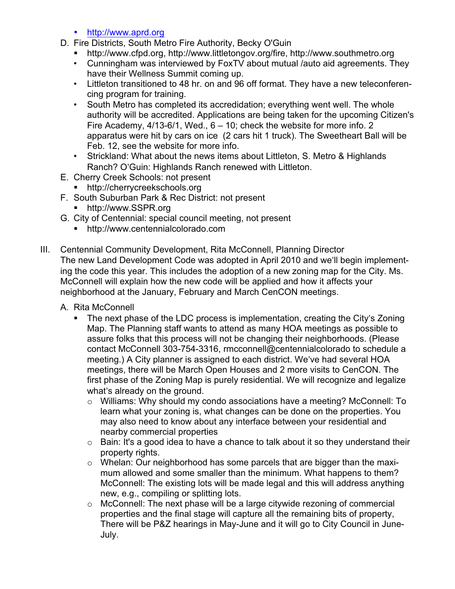- http://www.aprd.org
- D. Fire Districts, South Metro Fire Authority, Becky O'Guin
	- ! http://www.cfpd.org, http://www.littletongov.org/fire, http://www.southmetro.org
	- Cunningham was interviewed by FoxTV about mutual /auto aid agreements. They have their Wellness Summit coming up.
	- Littleton transitioned to 48 hr. on and 96 off format. They have a new teleconferencing program for training.
	- South Metro has completed its accredidation; everything went well. The whole authority will be accredited. Applications are being taken for the upcoming Citizen's Fire Academy,  $4/13-6/1$ , Wed.,  $6-10$ ; check the website for more info. 2 apparatus were hit by cars on ice (2 cars hit 1 truck). The Sweetheart Ball will be Feb. 12, see the website for more info.
	- Strickland: What about the news items about Littleton, S. Metro & Highlands Ranch? O'Guin: Highlands Ranch renewed with Littleton.
- E. Cherry Creek Schools: not present
	- http://cherrycreekschools.org
- F. South Suburban Park & Rec District: not present
	- http://www.SSPR.org
- G. City of Centennial: special council meeting, not present
	- ! http://www.centennialcolorado.com
- III. Centennial Community Development, Rita McConnell, Planning Director The new Land Development Code was adopted in April 2010 and we'll begin implementing the code this year. This includes the adoption of a new zoning map for the City. Ms. McConnell will explain how the new code will be applied and how it affects your neighborhood at the January, February and March CenCON meetings.
	- A. Rita McConnell
		- ! The next phase of the LDC process is implementation, creating the City's Zoning Map. The Planning staff wants to attend as many HOA meetings as possible to assure folks that this process will not be changing their neighborhoods. (Please contact McConnell 303-754-3316, rmcconnell@centennialcolorado to schedule a meeting.) A City planner is assigned to each district. We've had several HOA meetings, there will be March Open Houses and 2 more visits to CenCON. The first phase of the Zoning Map is purely residential. We will recognize and legalize what's already on the ground.
			- o Williams: Why should my condo associations have a meeting? McConnell: To learn what your zoning is, what changes can be done on the properties. You may also need to know about any interface between your residential and nearby commercial properties
			- $\circ$  Bain: It's a good idea to have a chance to talk about it so they understand their property rights.
			- o Whelan: Our neighborhood has some parcels that are bigger than the maximum allowed and some smaller than the minimum. What happens to them? McConnell: The existing lots will be made legal and this will address anything new, e.g., compiling or splitting lots.
			- o McConnell: The next phase will be a large citywide rezoning of commercial properties and the final stage will capture all the remaining bits of property, There will be P&Z hearings in May-June and it will go to City Council in June-July.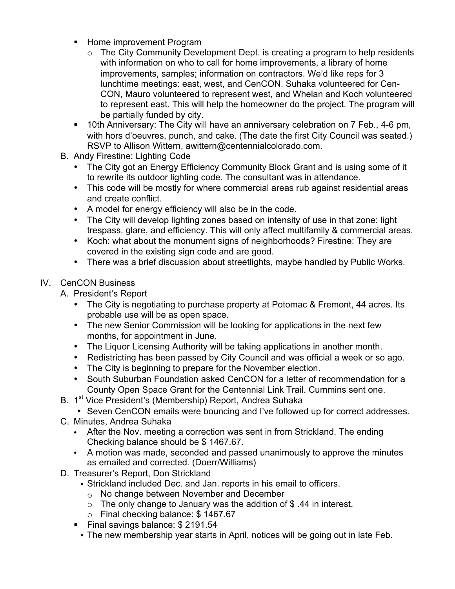- **EXEC** Home improvement Program
	- $\circ$  The City Community Development Dept. is creating a program to help residents with information on who to call for home improvements, a library of home improvements, samples; information on contractors. We'd like reps for 3 lunchtime meetings: east, west, and CenCON. Suhaka volunteered for Cen-CON, Mauro volunteered to represent west, and Whelan and Koch volunteered to represent east. This will help the homeowner do the project. The program will be partially funded by city.
- **.** 10th Anniversary: The City will have an anniversary celebration on 7 Feb., 4-6 pm, with hors d'oeuvres, punch, and cake. (The date the first City Council was seated.) RSVP to Allison Wittern, awittern@centennialcolorado.com.
- B. Andy Firestine: Lighting Code
	- The City got an Energy Efficiency Community Block Grant and is using some of it to rewrite its outdoor lighting code. The consultant was in attendance.
	- This code will be mostly for where commercial areas rub against residential areas and create conflict.
	- A model for energy efficiency will also be in the code.
	- The City will develop lighting zones based on intensity of use in that zone: light trespass, glare, and efficiency. This will only affect multifamily & commercial areas.
	- Koch: what about the monument signs of neighborhoods? Firestine: They are covered in the existing sign code and are good.
	- There was a brief discussion about streetlights, maybe handled by Public Works.

## IV. CenCON Business

A. President's Report

- The City is negotiating to purchase property at Potomac & Fremont, 44 acres. Its probable use will be as open space.
- The new Senior Commission will be looking for applications in the next few months, for appointment in June.
- The Liquor Licensing Authority will be taking applications in another month.
- Redistricting has been passed by City Council and was official a week or so ago.
- The City is beginning to prepare for the November election.
- South Suburban Foundation asked CenCON for a letter of recommendation for a County Open Space Grant for the Centennial Link Trail. Cummins sent one.
- B. 1<sup>st</sup> Vice President's (Membership) Report, Andrea Suhaka
	- Seven CenCON emails were bouncing and I've followed up for correct addresses.
- C. Minutes, Andrea Suhaka
	- After the Nov. meeting a correction was sent in from Strickland. The ending Checking balance should be \$ 1467.67.
	- A motion was made, seconded and passed unanimously to approve the minutes as emailed and corrected. (Doerr/Williams)
- D. Treasurer's Report, Don Strickland
	- Strickland included Dec. and Jan. reports in his email to officers.
		- o No change between November and December
		- $\circ$  The only change to January was the addition of \$.44 in interest.
	- o Final checking balance: \$ 1467.67
	- ! Final savings balance: \$ 2191.54
	- The new membership year starts in April, notices will be going out in late Feb.